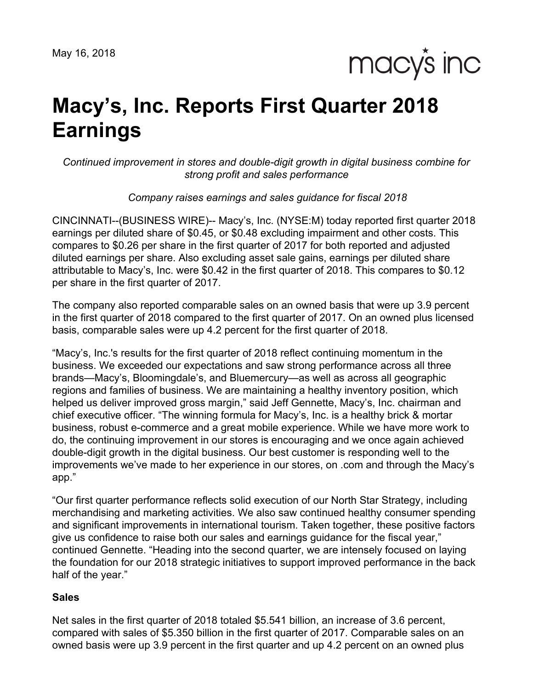macy's inc

# **Macy's, Inc. Reports First Quarter 2018 Earnings**

*Continued improvement in stores and double-digit growth in digital business combine for strong profit and sales performance*

*Company raises earnings and sales guidance for fiscal 2018*

CINCINNATI--(BUSINESS WIRE)-- Macy's, Inc. (NYSE:M) today reported first quarter 2018 earnings per diluted share of \$0.45, or \$0.48 excluding impairment and other costs. This compares to \$0.26 per share in the first quarter of 2017 for both reported and adjusted diluted earnings per share. Also excluding asset sale gains, earnings per diluted share attributable to Macy's, Inc. were \$0.42 in the first quarter of 2018. This compares to \$0.12 per share in the first quarter of 2017.

The company also reported comparable sales on an owned basis that were up 3.9 percent in the first quarter of 2018 compared to the first quarter of 2017. On an owned plus licensed basis, comparable sales were up 4.2 percent for the first quarter of 2018.

"Macy's, Inc.'s results for the first quarter of 2018 reflect continuing momentum in the business. We exceeded our expectations and saw strong performance across all three brands—Macy's, Bloomingdale's, and Bluemercury—as well as across all geographic regions and families of business. We are maintaining a healthy inventory position, which helped us deliver improved gross margin," said Jeff Gennette, Macy's, Inc. chairman and chief executive officer. "The winning formula for Macy's, Inc. is a healthy brick & mortar business, robust e-commerce and a great mobile experience. While we have more work to do, the continuing improvement in our stores is encouraging and we once again achieved double-digit growth in the digital business. Our best customer is responding well to the improvements we've made to her experience in our stores, on .com and through the Macy's app."

"Our first quarter performance reflects solid execution of our North Star Strategy, including merchandising and marketing activities. We also saw continued healthy consumer spending and significant improvements in international tourism. Taken together, these positive factors give us confidence to raise both our sales and earnings guidance for the fiscal year," continued Gennette. "Heading into the second quarter, we are intensely focused on laying the foundation for our 2018 strategic initiatives to support improved performance in the back half of the year."

# **Sales**

Net sales in the first quarter of 2018 totaled \$5.541 billion, an increase of 3.6 percent, compared with sales of \$5.350 billion in the first quarter of 2017. Comparable sales on an owned basis were up 3.9 percent in the first quarter and up 4.2 percent on an owned plus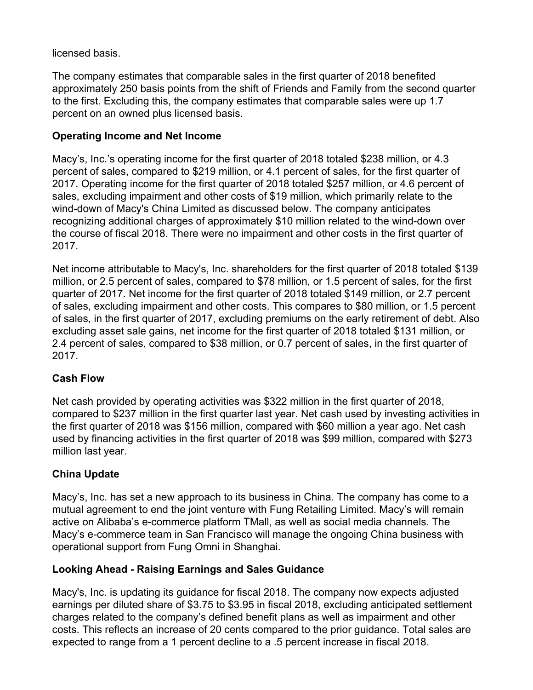licensed basis.

The company estimates that comparable sales in the first quarter of 2018 benefited approximately 250 basis points from the shift of Friends and Family from the second quarter to the first. Excluding this, the company estimates that comparable sales were up 1.7 percent on an owned plus licensed basis.

# **Operating Income and Net Income**

Macy's, Inc.'s operating income for the first quarter of 2018 totaled \$238 million, or 4.3 percent of sales, compared to \$219 million, or 4.1 percent of sales, for the first quarter of 2017. Operating income for the first quarter of 2018 totaled \$257 million, or 4.6 percent of sales, excluding impairment and other costs of \$19 million, which primarily relate to the wind-down of Macy's China Limited as discussed below. The company anticipates recognizing additional charges of approximately \$10 million related to the wind-down over the course of fiscal 2018. There were no impairment and other costs in the first quarter of 2017.

Net income attributable to Macy's, Inc. shareholders for the first quarter of 2018 totaled \$139 million, or 2.5 percent of sales, compared to \$78 million, or 1.5 percent of sales, for the first quarter of 2017. Net income for the first quarter of 2018 totaled \$149 million, or 2.7 percent of sales, excluding impairment and other costs. This compares to \$80 million, or 1.5 percent of sales, in the first quarter of 2017, excluding premiums on the early retirement of debt. Also excluding asset sale gains, net income for the first quarter of 2018 totaled \$131 million, or 2.4 percent of sales, compared to \$38 million, or 0.7 percent of sales, in the first quarter of 2017.

# **Cash Flow**

Net cash provided by operating activities was \$322 million in the first quarter of 2018, compared to \$237 million in the first quarter last year. Net cash used by investing activities in the first quarter of 2018 was \$156 million, compared with \$60 million a year ago. Net cash used by financing activities in the first quarter of 2018 was \$99 million, compared with \$273 million last year.

# **China Update**

Macy's, Inc. has set a new approach to its business in China. The company has come to a mutual agreement to end the joint venture with Fung Retailing Limited. Macy's will remain active on Alibaba's e-commerce platform TMall, as well as social media channels. The Macy's e-commerce team in San Francisco will manage the ongoing China business with operational support from Fung Omni in Shanghai.

# **Looking Ahead - Raising Earnings and Sales Guidance**

Macy's, Inc. is updating its guidance for fiscal 2018. The company now expects adjusted earnings per diluted share of \$3.75 to \$3.95 in fiscal 2018, excluding anticipated settlement charges related to the company's defined benefit plans as well as impairment and other costs. This reflects an increase of 20 cents compared to the prior guidance. Total sales are expected to range from a 1 percent decline to a .5 percent increase in fiscal 2018.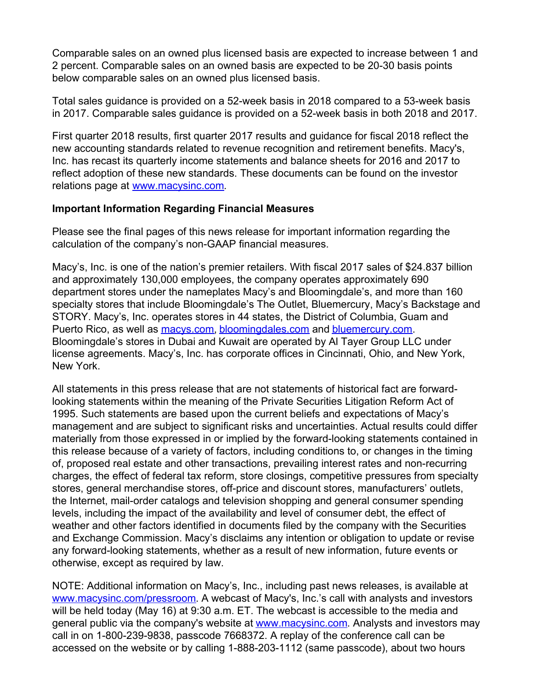Comparable sales on an owned plus licensed basis are expected to increase between 1 and 2 percent. Comparable sales on an owned basis are expected to be 20-30 basis points below comparable sales on an owned plus licensed basis.

Total sales guidance is provided on a 52-week basis in 2018 compared to a 53-week basis in 2017. Comparable sales guidance is provided on a 52-week basis in both 2018 and 2017.

First quarter 2018 results, first quarter 2017 results and guidance for fiscal 2018 reflect the new accounting standards related to revenue recognition and retirement benefits. Macy's, Inc. has recast its quarterly income statements and balance sheets for 2016 and 2017 to reflect adoption of these new standards. These documents can be found on the investor relations page at [www.macysinc.com](http://www.macysinc.com).

# **Important Information Regarding Financial Measures**

Please see the final pages of this news release for important information regarding the calculation of the company's non-GAAP financial measures.

Macy's, Inc. is one of the nation's premier retailers. With fiscal 2017 sales of \$24.837 billion and approximately 130,000 employees, the company operates approximately 690 department stores under the nameplates Macy's and Bloomingdale's, and more than 160 specialty stores that include Bloomingdale's The Outlet, Bluemercury, Macy's Backstage and STORY. Macy's, Inc. operates stores in 44 states, the District of Columbia, Guam and Puerto Rico, as well as [macys.com](https://www.macys.com/), [bloomingdales.com](https://www.bloomingdales.com/) and [bluemercury.com](https://bluemercury.com/). Bloomingdale's stores in Dubai and Kuwait are operated by Al Tayer Group LLC under license agreements. Macy's, Inc. has corporate offices in Cincinnati, Ohio, and New York, New York.

All statements in this press release that are not statements of historical fact are forwardlooking statements within the meaning of the Private Securities Litigation Reform Act of 1995. Such statements are based upon the current beliefs and expectations of Macy's management and are subject to significant risks and uncertainties. Actual results could differ materially from those expressed in or implied by the forward-looking statements contained in this release because of a variety of factors, including conditions to, or changes in the timing of, proposed real estate and other transactions, prevailing interest rates and non-recurring charges, the effect of federal tax reform, store closings, competitive pressures from specialty stores, general merchandise stores, off-price and discount stores, manufacturers' outlets, the Internet, mail-order catalogs and television shopping and general consumer spending levels, including the impact of the availability and level of consumer debt, the effect of weather and other factors identified in documents filed by the company with the Securities and Exchange Commission. Macy's disclaims any intention or obligation to update or revise any forward-looking statements, whether as a result of new information, future events or otherwise, except as required by law.

NOTE: Additional information on Macy's, Inc., including past news releases, is available at [www.macysinc.com/pressroom](http://www.macysinc.com/pressroom). A webcast of Macy's, Inc.'s call with analysts and investors will be held today (May 16) at 9:30 a.m. ET. The webcast is accessible to the media and general public via the company's website at [www.macysinc.com](http://www.macysinc.com). Analysts and investors may call in on 1-800-239-9838, passcode 7668372. A replay of the conference call can be accessed on the website or by calling 1-888-203-1112 (same passcode), about two hours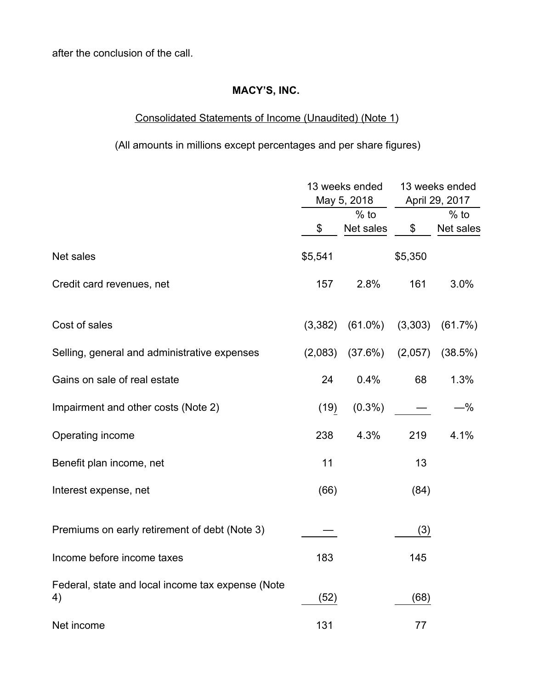after the conclusion of the call.

# **MACY'S, INC.**

# Consolidated Statements of Income (Unaudited) (Note 1)

(All amounts in millions except percentages and per share figures)

|                                                         |         | 13 weeks ended<br>May 5, 2018 | 13 weeks ended<br>April 29, 2017 |                     |  |  |
|---------------------------------------------------------|---------|-------------------------------|----------------------------------|---------------------|--|--|
|                                                         | \$      | $%$ to<br>Net sales           | \$                               | $%$ to<br>Net sales |  |  |
| Net sales                                               | \$5,541 |                               | \$5,350                          |                     |  |  |
| Credit card revenues, net                               | 157     | 2.8%                          | 161                              | 3.0%                |  |  |
| Cost of sales                                           | (3,382) | $(61.0\%)$                    | (3,303)                          | (61.7%)             |  |  |
| Selling, general and administrative expenses            | (2,083) | (37.6%)                       | (2,057)                          | (38.5%)             |  |  |
| Gains on sale of real estate                            | 24      | 0.4%                          | 68                               | 1.3%                |  |  |
| Impairment and other costs (Note 2)                     | (19)    | $(0.3\%)$                     |                                  | $-$ %               |  |  |
| Operating income                                        | 238     | 4.3%                          | 219                              | 4.1%                |  |  |
| Benefit plan income, net                                | 11      |                               | 13                               |                     |  |  |
| Interest expense, net                                   | (66)    |                               | (84)                             |                     |  |  |
| Premiums on early retirement of debt (Note 3)           |         |                               | (3)                              |                     |  |  |
| Income before income taxes                              | 183     |                               | 145                              |                     |  |  |
| Federal, state and local income tax expense (Note<br>4) | (52)    |                               | (68)                             |                     |  |  |
| Net income                                              | 131     |                               | 77                               |                     |  |  |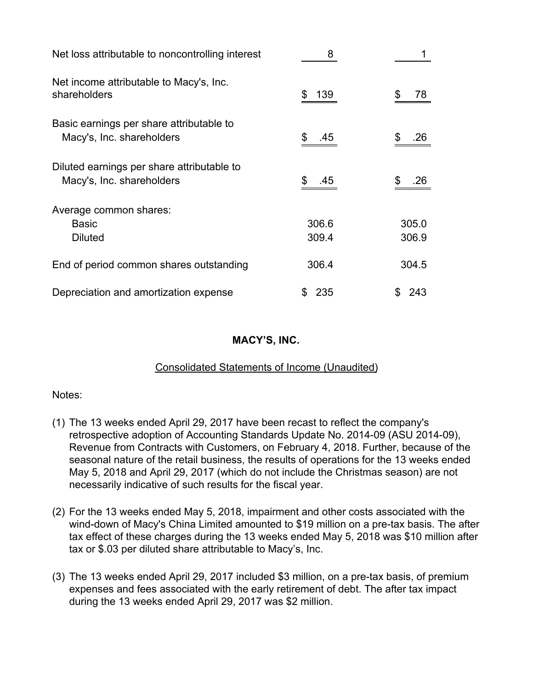| Net loss attributable to noncontrolling interest                        | 8              |                |
|-------------------------------------------------------------------------|----------------|----------------|
| Net income attributable to Macy's, Inc.<br>shareholders                 | 139            | \$<br>78       |
| Basic earnings per share attributable to<br>Macy's, Inc. shareholders   | .45            | .26            |
| Diluted earnings per share attributable to<br>Macy's, Inc. shareholders | .45            | .26            |
| Average common shares:<br><b>Basic</b><br><b>Diluted</b>                | 306.6<br>309.4 | 305.0<br>306.9 |
| End of period common shares outstanding                                 | 306.4          | 304.5          |
| Depreciation and amortization expense                                   | 235<br>S       | 243            |

# **MACY'S, INC.**

# Consolidated Statements of Income (Unaudited)

# Notes:

- (1) The 13 weeks ended April 29, 2017 have been recast to reflect the company's retrospective adoption of Accounting Standards Update No. 2014-09 (ASU 2014-09), Revenue from Contracts with Customers, on February 4, 2018. Further, because of the seasonal nature of the retail business, the results of operations for the 13 weeks ended May 5, 2018 and April 29, 2017 (which do not include the Christmas season) are not necessarily indicative of such results for the fiscal year.
- (2) For the 13 weeks ended May 5, 2018, impairment and other costs associated with the wind-down of Macy's China Limited amounted to \$19 million on a pre-tax basis. The after tax effect of these charges during the 13 weeks ended May 5, 2018 was \$10 million after tax or \$.03 per diluted share attributable to Macy's, Inc.
- (3) The 13 weeks ended April 29, 2017 included \$3 million, on a pre-tax basis, of premium expenses and fees associated with the early retirement of debt. The after tax impact during the 13 weeks ended April 29, 2017 was \$2 million.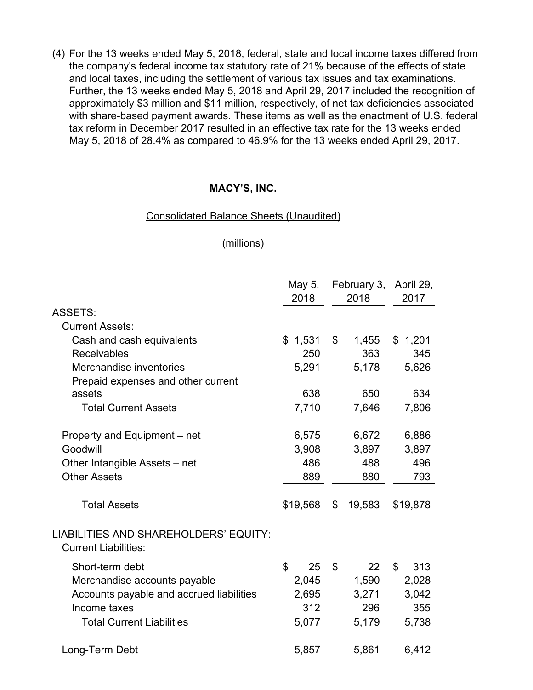(4) For the 13 weeks ended May 5, 2018, federal, state and local income taxes differed from the company's federal income tax statutory rate of 21% because of the effects of state and local taxes, including the settlement of various tax issues and tax examinations. Further, the 13 weeks ended May 5, 2018 and April 29, 2017 included the recognition of approximately \$3 million and \$11 million, respectively, of net tax deficiencies associated with share-based payment awards. These items as well as the enactment of U.S. federal tax reform in December 2017 resulted in an effective tax rate for the 13 weeks ended May 5, 2018 of 28.4% as compared to 46.9% for the 13 weeks ended April 29, 2017.

# **MACY'S, INC.**

#### Consolidated Balance Sheets (Unaudited)

#### (millions)

|                                                                      | May 5,             | February 3,    |        | April 29, |
|----------------------------------------------------------------------|--------------------|----------------|--------|-----------|
|                                                                      | 2018               | 2018           |        | 2017      |
| <b>ASSETS:</b>                                                       |                    |                |        |           |
| <b>Current Assets:</b>                                               |                    |                |        |           |
| Cash and cash equivalents                                            | \$1,531            | $\mathfrak{S}$ | 1,455  | \$1,201   |
| Receivables                                                          | 250                |                | 363    | 345       |
| Merchandise inventories                                              | 5,291              |                | 5,178  | 5,626     |
| Prepaid expenses and other current                                   |                    |                |        |           |
| assets                                                               | 638                |                | 650    | 634       |
| <b>Total Current Assets</b>                                          | 7,710              |                | 7,646  | 7,806     |
|                                                                      |                    |                |        |           |
| Property and Equipment - net                                         | 6,575              |                | 6,672  | 6,886     |
| Goodwill                                                             | 3,908              |                | 3,897  | 3,897     |
| Other Intangible Assets - net                                        | 486                |                | 488    | 496       |
| <b>Other Assets</b>                                                  | 889                |                | 880    | 793       |
|                                                                      |                    |                |        |           |
| <b>Total Assets</b>                                                  | \$19,568           | \$             | 19,583 | \$19,878  |
|                                                                      |                    |                |        |           |
| LIABILITIES AND SHAREHOLDERS' EQUITY:<br><b>Current Liabilities:</b> |                    |                |        |           |
| Short-term debt                                                      | $\mathbb{S}$<br>25 | \$             | 22     | \$<br>313 |
| Merchandise accounts payable                                         | 2,045              |                | 1,590  | 2,028     |
| Accounts payable and accrued liabilities                             | 2,695              |                | 3,271  | 3,042     |
| Income taxes                                                         | 312                |                | 296    | 355       |
| <b>Total Current Liabilities</b>                                     | 5,077              |                | 5,179  | 5,738     |
| Long-Term Debt                                                       | 5,857              |                | 5,861  | 6,412     |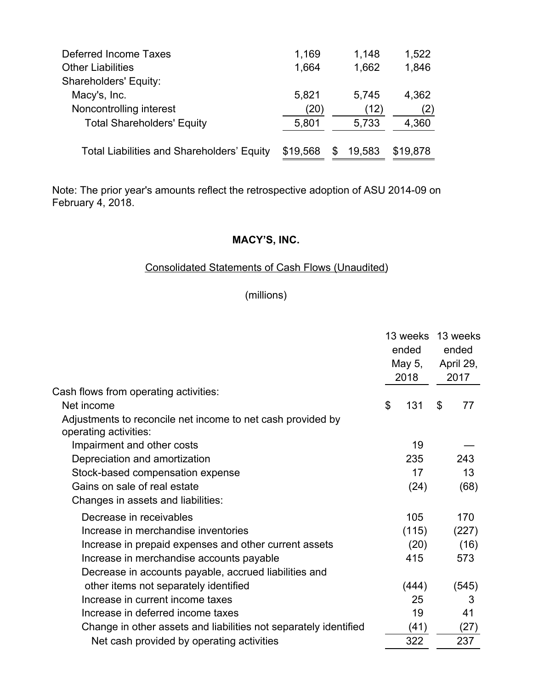| Deferred Income Taxes                             | 1,169    | 1,148        | 1,522    |
|---------------------------------------------------|----------|--------------|----------|
| <b>Other Liabilities</b>                          | 1,664    | 1,662        | 1,846    |
| <b>Shareholders' Equity:</b>                      |          |              |          |
| Macy's, Inc.                                      | 5,821    | 5,745        | 4,362    |
| Noncontrolling interest                           | (20)     | (12)         | (2)      |
| <b>Total Shareholders' Equity</b>                 | 5,801    | 5.733        | 4,360    |
| <b>Total Liabilities and Shareholders' Equity</b> | \$19,568 | 19,583<br>\$ | \$19,878 |

Note: The prior year's amounts reflect the retrospective adoption of ASU 2014-09 on February 4, 2018.

# **MACY'S, INC.**

# Consolidated Statements of Cash Flows (Unaudited)

# (millions)

|                                                                                      |    | 13 weeks<br>ended<br>May 5,<br>2018 |    | 13 weeks<br>ended<br>April 29,<br>2017 |  |
|--------------------------------------------------------------------------------------|----|-------------------------------------|----|----------------------------------------|--|
| Cash flows from operating activities:                                                |    |                                     |    |                                        |  |
| Net income                                                                           | \$ | 131                                 | \$ | 77                                     |  |
| Adjustments to reconcile net income to net cash provided by<br>operating activities: |    |                                     |    |                                        |  |
| Impairment and other costs                                                           |    | 19                                  |    |                                        |  |
| Depreciation and amortization                                                        |    | 235                                 |    | 243                                    |  |
| Stock-based compensation expense                                                     |    | 17                                  |    | 13                                     |  |
| Gains on sale of real estate                                                         |    | (24)                                |    | (68)                                   |  |
| Changes in assets and liabilities:                                                   |    |                                     |    |                                        |  |
| Decrease in receivables                                                              |    | 105                                 |    | 170                                    |  |
| Increase in merchandise inventories                                                  |    | (115)                               |    | (227)                                  |  |
| Increase in prepaid expenses and other current assets                                |    | (20)                                |    | (16)                                   |  |
| Increase in merchandise accounts payable                                             |    | 415                                 |    | 573                                    |  |
| Decrease in accounts payable, accrued liabilities and                                |    |                                     |    |                                        |  |
| other items not separately identified                                                |    | (444)                               |    | (545)                                  |  |
| Increase in current income taxes                                                     |    | 25                                  |    | 3                                      |  |
| Increase in deferred income taxes                                                    |    | 19                                  |    | 41                                     |  |
| Change in other assets and liabilities not separately identified                     |    | (41)                                |    | (27)                                   |  |
| Net cash provided by operating activities                                            |    | 322                                 |    | 237                                    |  |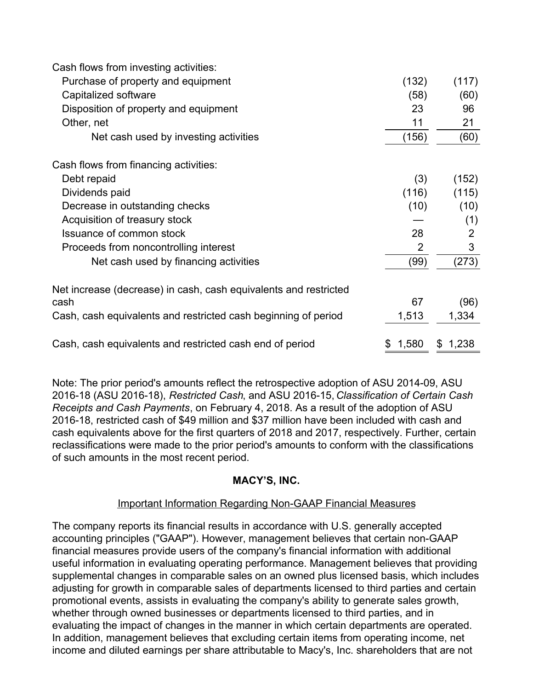| Cash flows from investing activities:                            |       |             |
|------------------------------------------------------------------|-------|-------------|
| Purchase of property and equipment                               | (132) | (117)       |
| Capitalized software                                             | (58)  | (60)        |
| Disposition of property and equipment                            | 23    | 96          |
| Other, net                                                       | 11    | 21          |
| Net cash used by investing activities                            | (156) | (60)        |
| Cash flows from financing activities:                            |       |             |
| Debt repaid                                                      | (3)   | (152)       |
| Dividends paid                                                   | (116) | (115)       |
| Decrease in outstanding checks                                   | (10)  | (10)        |
| Acquisition of treasury stock                                    |       | (1)         |
| Issuance of common stock                                         | 28    | 2           |
| Proceeds from noncontrolling interest                            | 2     | 3           |
| Net cash used by financing activities                            | (99)  | (273)       |
| Net increase (decrease) in cash, cash equivalents and restricted |       |             |
| cash                                                             | 67    | (96)        |
| Cash, cash equivalents and restricted cash beginning of period   | 1,513 | 1,334       |
| Cash, cash equivalents and restricted cash end of period         | 1,580 | 1,238<br>S. |

Note: The prior period's amounts reflect the retrospective adoption of ASU 2014-09, ASU 2016-18 (ASU 2016-18), *Restricted Cash*, and ASU 2016-15, *Classification of Certain Cash Receipts and Cash Payments*, on February 4, 2018. As a result of the adoption of ASU 2016-18, restricted cash of \$49 million and \$37 million have been included with cash and cash equivalents above for the first quarters of 2018 and 2017, respectively. Further, certain reclassifications were made to the prior period's amounts to conform with the classifications of such amounts in the most recent period.

# **MACY'S, INC.**

# Important Information Regarding Non-GAAP Financial Measures

The company reports its financial results in accordance with U.S. generally accepted accounting principles ("GAAP"). However, management believes that certain non-GAAP financial measures provide users of the company's financial information with additional useful information in evaluating operating performance. Management believes that providing supplemental changes in comparable sales on an owned plus licensed basis, which includes adjusting for growth in comparable sales of departments licensed to third parties and certain promotional events, assists in evaluating the company's ability to generate sales growth, whether through owned businesses or departments licensed to third parties, and in evaluating the impact of changes in the manner in which certain departments are operated. In addition, management believes that excluding certain items from operating income, net income and diluted earnings per share attributable to Macy's, Inc. shareholders that are not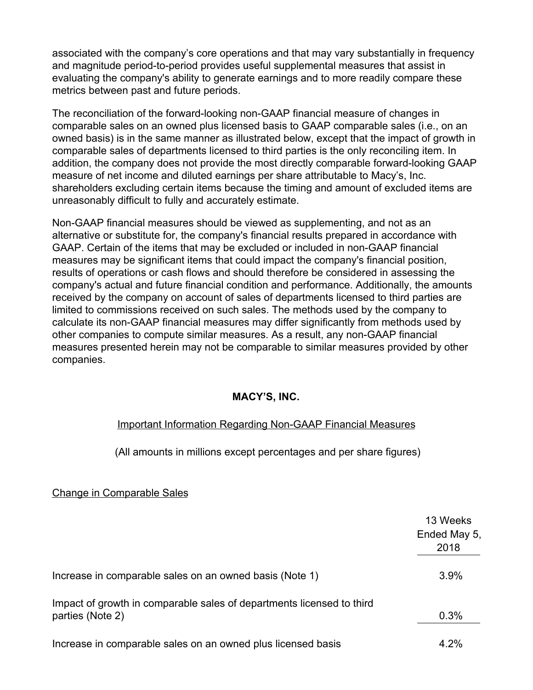associated with the company's core operations and that may vary substantially in frequency and magnitude period-to-period provides useful supplemental measures that assist in evaluating the company's ability to generate earnings and to more readily compare these metrics between past and future periods.

The reconciliation of the forward-looking non-GAAP financial measure of changes in comparable sales on an owned plus licensed basis to GAAP comparable sales (i.e., on an owned basis) is in the same manner as illustrated below, except that the impact of growth in comparable sales of departments licensed to third parties is the only reconciling item. In addition, the company does not provide the most directly comparable forward-looking GAAP measure of net income and diluted earnings per share attributable to Macy's, Inc. shareholders excluding certain items because the timing and amount of excluded items are unreasonably difficult to fully and accurately estimate.

Non-GAAP financial measures should be viewed as supplementing, and not as an alternative or substitute for, the company's financial results prepared in accordance with GAAP. Certain of the items that may be excluded or included in non-GAAP financial measures may be significant items that could impact the company's financial position, results of operations or cash flows and should therefore be considered in assessing the company's actual and future financial condition and performance. Additionally, the amounts received by the company on account of sales of departments licensed to third parties are limited to commissions received on such sales. The methods used by the company to calculate its non-GAAP financial measures may differ significantly from methods used by other companies to compute similar measures. As a result, any non-GAAP financial measures presented herein may not be comparable to similar measures provided by other companies.

# **MACY'S, INC.**

# Important Information Regarding Non-GAAP Financial Measures

(All amounts in millions except percentages and per share figures)

# Change in Comparable Sales

|                                                                                           | 13 Weeks<br>Ended May 5, |
|-------------------------------------------------------------------------------------------|--------------------------|
|                                                                                           | 2018                     |
| Increase in comparable sales on an owned basis (Note 1)                                   | 3.9%                     |
| Impact of growth in comparable sales of departments licensed to third<br>parties (Note 2) | 0.3%                     |
| Increase in comparable sales on an owned plus licensed basis                              | $4.2\%$                  |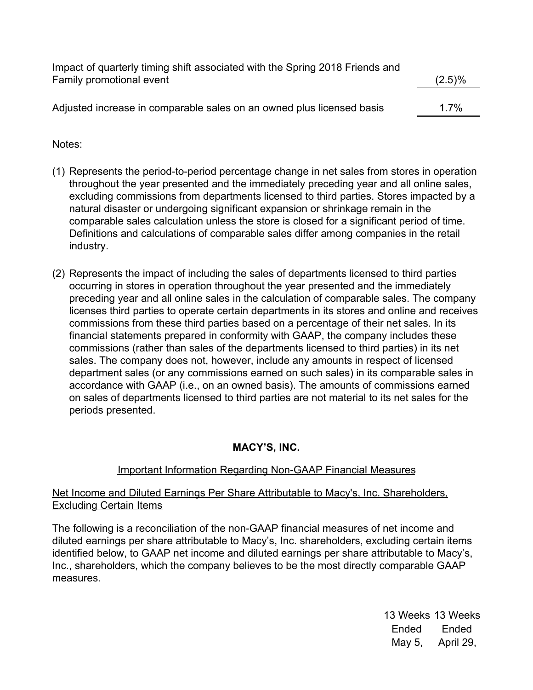| Family promotional event                                              | $(2.5)\%$ |
|-----------------------------------------------------------------------|-----------|
|                                                                       |           |
| Adjusted increase in comparable sales on an owned plus licensed basis | 1.7%      |

# Notes:

- (1) Represents the period-to-period percentage change in net sales from stores in operation throughout the year presented and the immediately preceding year and all online sales, excluding commissions from departments licensed to third parties. Stores impacted by a natural disaster or undergoing significant expansion or shrinkage remain in the comparable sales calculation unless the store is closed for a significant period of time. Definitions and calculations of comparable sales differ among companies in the retail industry.
- (2) Represents the impact of including the sales of departments licensed to third parties occurring in stores in operation throughout the year presented and the immediately preceding year and all online sales in the calculation of comparable sales. The company licenses third parties to operate certain departments in its stores and online and receives commissions from these third parties based on a percentage of their net sales. In its financial statements prepared in conformity with GAAP, the company includes these commissions (rather than sales of the departments licensed to third parties) in its net sales. The company does not, however, include any amounts in respect of licensed department sales (or any commissions earned on such sales) in its comparable sales in accordance with GAAP (i.e., on an owned basis). The amounts of commissions earned on sales of departments licensed to third parties are not material to its net sales for the periods presented.

# **MACY'S, INC.**

# Important Information Regarding Non-GAAP Financial Measures

# Net Income and Diluted Earnings Per Share Attributable to Macy's, Inc. Shareholders, Excluding Certain Items

The following is a reconciliation of the non-GAAP financial measures of net income and diluted earnings per share attributable to Macy's, Inc. shareholders, excluding certain items identified below, to GAAP net income and diluted earnings per share attributable to Macy's, Inc., shareholders, which the company believes to be the most directly comparable GAAP measures.

> 13 Weeks 13 Weeks Ended Ended May 5, April 29,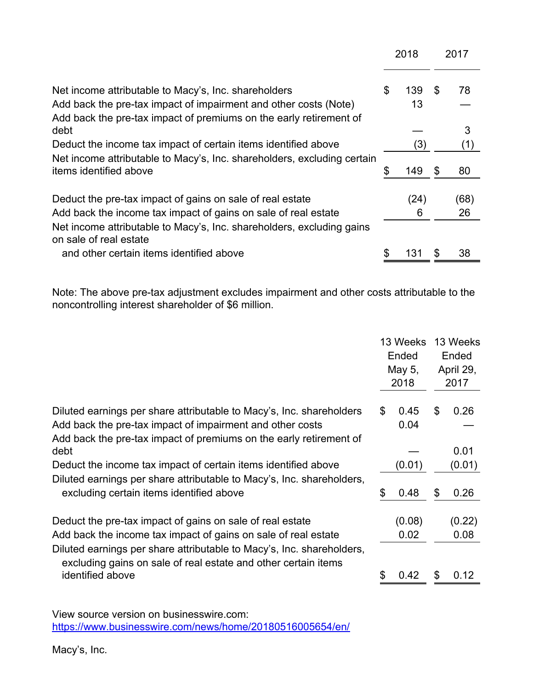|                                                                                                                                             | 2018 |           |     | 2017       |
|---------------------------------------------------------------------------------------------------------------------------------------------|------|-----------|-----|------------|
| Net income attributable to Macy's, Inc. shareholders                                                                                        | \$   | 139       | \$. | 78         |
| Add back the pre-tax impact of impairment and other costs (Note)<br>Add back the pre-tax impact of premiums on the early retirement of      |      | 13        |     |            |
| debt                                                                                                                                        |      |           |     | 3          |
| Deduct the income tax impact of certain items identified above                                                                              |      | (3)       |     | (1)        |
| Net income attributable to Macy's, Inc. shareholders, excluding certain<br>items identified above                                           | \$   | 149       |     | 80         |
| Deduct the pre-tax impact of gains on sale of real estate<br>Add back the income tax impact of gains on sale of real estate                 |      | (24)<br>6 |     | (68)<br>26 |
| Net income attributable to Macy's, Inc. shareholders, excluding gains<br>on sale of real estate<br>and other certain items identified above | \$   | 131       |     | 38         |
|                                                                                                                                             |      |           |     |            |

Note: The above pre-tax adjustment excludes impairment and other costs attributable to the noncontrolling interest shareholder of \$6 million.

|                                                                                                                                         |    | 13 Weeks<br>Ended<br>May 5,<br>2018 |    | 13 Weeks<br>Ended<br>April 29,<br>2017 |  |
|-----------------------------------------------------------------------------------------------------------------------------------------|----|-------------------------------------|----|----------------------------------------|--|
| Diluted earnings per share attributable to Macy's, Inc. shareholders                                                                    | \$ | 0.45                                | \$ | 0.26                                   |  |
| Add back the pre-tax impact of impairment and other costs                                                                               |    | 0.04                                |    |                                        |  |
| Add back the pre-tax impact of premiums on the early retirement of                                                                      |    |                                     |    |                                        |  |
| debt                                                                                                                                    |    |                                     |    | 0.01                                   |  |
| Deduct the income tax impact of certain items identified above                                                                          |    | (0.01)                              |    | (0.01)                                 |  |
| Diluted earnings per share attributable to Macy's, Inc. shareholders,                                                                   |    |                                     |    |                                        |  |
| excluding certain items identified above                                                                                                | \$ | 0.48                                | \$ | 0.26                                   |  |
| Deduct the pre-tax impact of gains on sale of real estate                                                                               |    | (0.08)                              |    | (0.22)                                 |  |
| Add back the income tax impact of gains on sale of real estate                                                                          |    | 0.02                                |    | 0.08                                   |  |
| Diluted earnings per share attributable to Macy's, Inc. shareholders,<br>excluding gains on sale of real estate and other certain items |    |                                     |    |                                        |  |
| identified above                                                                                                                        |    | 0.42                                | \$ | 0.12                                   |  |

View source version on businesswire.com: <https://www.businesswire.com/news/home/20180516005654/en/>

Macy's, Inc.